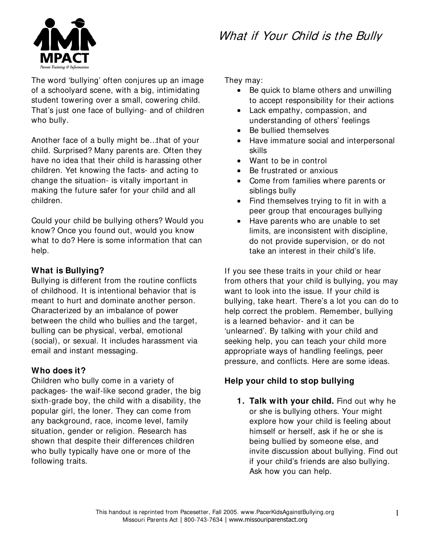# What if Your Child is the Bully



The word 'bullying' often conjures up an image of a schoolyard scene, with a big, intimidating student towering over a small, cowering child. That's just one face of bullying- and of children who bully.

Another face of a bully might be…that of your child. Surprised? Many parents are. Often they have no idea that their child is harassing other children. Yet knowing the facts- and acting to change the situation- is vitally important in making the future safer for your child and all children.

Could your child be bullying others? Would you know? Once you found out, would you know what to do? Here is some information that can help.

### **What is Bullying?**

Bullying is different from the routine conflicts of childhood. It is intentional behavior that is meant to hurt and dominate another person. Characterized by an imbalance of power between the child who bullies and the target, bulling can be physical, verbal, emotional (social), or sexual. It includes harassment via email and instant messaging.

#### **Who does it?**

Children who bully come in a variety of packages- the waif-like second grader, the big sixth-grade boy, the child with a disability, the popular girl, the loner. They can come from any background, race, income level, family situation, gender or religion. Research has shown that despite their differences children who bully typically have one or more of the following traits.

They may:

- Be quick to blame others and unwilling to accept responsibility for their actions
- Lack empathy, compassion, and understanding of others' feelings
- Be bullied themselves
- Have immature social and interpersonal skills
- Want to be in control
- Be frustrated or anxious
- Come from families where parents or siblings bully
- Find themselves trying to fit in with a peer group that encourages bullying
- Have parents who are unable to set limits, are inconsistent with discipline, do not provide supervision, or do not take an interest in their child's life.

If you see these traits in your child or hear from others that your child is bullying, you may want to look into the issue. If your child is bullying, take heart. There's a lot you can do to help correct the problem. Remember, bullying is a learned behavior- and it can be 'unlearned'. By talking with your child and seeking help, you can teach your child more appropriate ways of handling feelings, peer pressure, and conflicts. Here are some ideas.

### **Help your child to stop bullying**

**1. Talk with your child.** Find out why he or she is bullying others. Your might explore how your child is feeling about himself or herself, ask if he or she is being bullied by someone else, and invite discussion about bullying. Find out if your child's friends are also bullying. Ask how you can help.